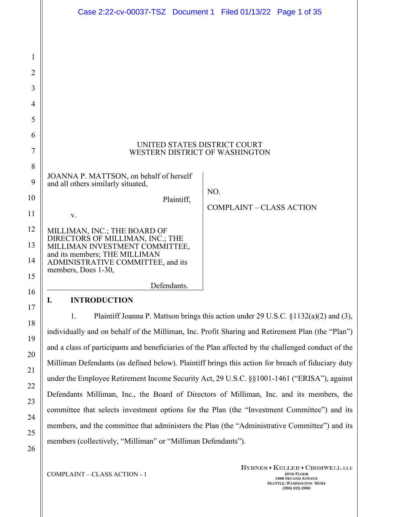|                | Case 2:22-cv-00037-TSZ Document 1 Filed 01/13/22 Page 1 of 35                                    |
|----------------|--------------------------------------------------------------------------------------------------|
|                |                                                                                                  |
| 1              |                                                                                                  |
| $\overline{2}$ |                                                                                                  |
| 3              |                                                                                                  |
| $\overline{4}$ |                                                                                                  |
| 5              |                                                                                                  |
| 6              |                                                                                                  |
| $\tau$         | UNITED STATES DISTRICT COURT<br>WESTERN DISTRICT OF WASHINGTON                                   |
| 8              |                                                                                                  |
| 9              | JOANNA P. MATTSON, on behalf of herself<br>and all others similarly situated,                    |
| 10             | NO.<br>Plaintiff,                                                                                |
| 11             | <b>COMPLAINT - CLASS ACTION</b><br>V.                                                            |
| 12             | MILLIMAN, INC.; THE BOARD OF                                                                     |
| 13             | DIRECTORS OF MILLIMAN, INC.; THE<br>MILLIMAN INVESTMENT COMMITTEE,                               |
| 14             | and its members; THE MILLIMAN<br>ADMINISTRATIVE COMMITTEE, and its                               |
| 15             | members, Does 1-30,                                                                              |
| 16             | Defendants.                                                                                      |
| 17             | <b>INTRODUCTION</b><br>I.                                                                        |
| 18             | Plaintiff Joanna P. Mattson brings this action under 29 U.S.C. §1132(a)(2) and (3),<br>1.        |
| 19             | individually and on behalf of the Milliman, Inc. Profit Sharing and Retirement Plan (the "Plan") |

individually and on behalf of the Milliman, Inc. Profit Sharing and Retirement Plan (the "Plan") and a class of participants and beneficiaries of the Plan affected by the challenged conduct of the Milliman Defendants (as defined below). Plaintiff brings this action for breach of fiduciary duty under the Employee Retirement Income Security Act, 29 U.S.C. §§1001-1461 ("ERISA"), against Defendants Milliman, Inc., the Board of Directors of Milliman, Inc. and its members, the committee that selects investment options for the Plan (the "Investment Committee") and its members, and the committee that administers the Plan (the "Administrative Committee") and its members (collectively, "Milliman" or "Milliman Defendants").

20

21

22

23

24

25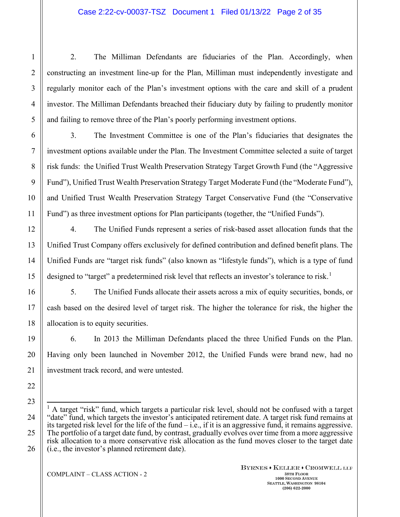2. The Milliman Defendants are fiduciaries of the Plan. Accordingly, when constructing an investment line-up for the Plan, Milliman must independently investigate and regularly monitor each of the Plan's investment options with the care and skill of a prudent investor. The Milliman Defendants breached their fiduciary duty by failing to prudently monitor and failing to remove three of the Plan's poorly performing investment options.

3. The Investment Committee is one of the Plan's fiduciaries that designates the investment options available under the Plan. The Investment Committee selected a suite of target risk funds: the Unified Trust Wealth Preservation Strategy Target Growth Fund (the "Aggressive Fund"), Unified Trust Wealth Preservation Strategy Target Moderate Fund (the "Moderate Fund"), and Unified Trust Wealth Preservation Strategy Target Conservative Fund (the "Conservative Fund") as three investment options for Plan participants (together, the "Unified Funds").

4. The Unified Funds represent a series of risk-based asset allocation funds that the Unified Trust Company offers exclusively for defined contribution and defined benefit plans. The Unified Funds are "target risk funds" (also known as "lifestyle funds"), which is a type of fund designed to "target" a predetermined risk level that reflects an investor's tolerance to risk.<sup>[1](#page-1-0)</sup>

5. The Unified Funds allocate their assets across a mix of equity securities, bonds, or cash based on the desired level of target risk. The higher the tolerance for risk, the higher the allocation is to equity securities.

6. In 2013 the Milliman Defendants placed the three Unified Funds on the Plan. Having only been launched in November 2012, the Unified Funds were brand new, had no investment track record, and were untested.

<span id="page-1-0"></span><sup>&</sup>lt;sup>1</sup> A target "risk" fund, which targets a particular risk level, should not be confused with a target "date" fund, which targets the investor's anticipated retirement date. A target risk fund remains at its targeted risk level for the life of the fund  $-i.e.,$  if it is an aggressive fund, it remains aggressive. The portfolio of a target date fund, by contrast, gradually evolves over time from a more aggressive risk allocation to a more conservative risk allocation as the fund moves closer to the target date (i.e., the investor's planned retirement date).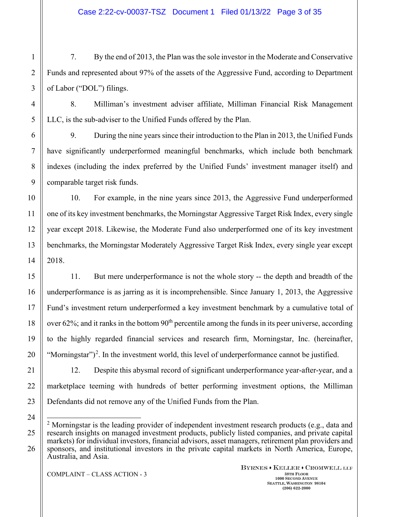7. By the end of 2013, the Plan was the sole investor in the Moderate and Conservative Funds and represented about 97% of the assets of the Aggressive Fund, according to Department of Labor ("DOL") filings.

8. Milliman's investment adviser affiliate, Milliman Financial Risk Management LLC, is the sub-adviser to the Unified Funds offered by the Plan.

9. During the nine years since their introduction to the Plan in 2013, the Unified Funds have significantly underperformed meaningful benchmarks, which include both benchmark indexes (including the index preferred by the Unified Funds' investment manager itself) and comparable target risk funds.

10. For example, in the nine years since 2013, the Aggressive Fund underperformed one of its key investment benchmarks, the Morningstar Aggressive Target Risk Index, every single year except 2018. Likewise, the Moderate Fund also underperformed one of its key investment benchmarks, the Morningstar Moderately Aggressive Target Risk Index, every single year except 2018.

11. But mere underperformance is not the whole story -- the depth and breadth of the underperformance is as jarring as it is incomprehensible. Since January 1, 2013, the Aggressive Fund's investment return underperformed a key investment benchmark by a cumulative total of over  $62\%$ ; and it ranks in the bottom  $90<sup>th</sup>$  percentile among the funds in its peer universe, according to the highly regarded financial services and research firm, Morningstar, Inc. (hereinafter, "Morningstar" $)^2$  $)^2$ . In the investment world, this level of underperformance cannot be justified.

12. Despite this abysmal record of significant underperformance year-after-year, and a marketplace teeming with hundreds of better performing investment options, the Milliman Defendants did not remove any of the Unified Funds from the Plan.

<span id="page-2-0"></span><sup>&</sup>lt;sup>2</sup> Morningstar is the leading provider of independent investment research products (e.g., data and research insights on managed investment products, publicly listed companies, and private capital markets) for individual investors, financial advisors, asset managers, retirement plan providers and sponsors, and institutional investors in the private capital markets in North America, Europe, Australia, and Asia.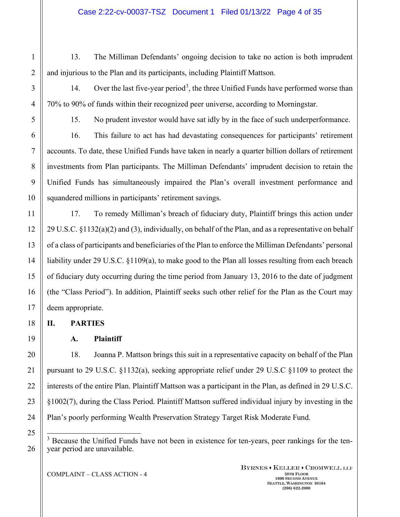1

2

3

4

5

6

13. The Milliman Defendants' ongoing decision to take no action is both imprudent and injurious to the Plan and its participants, including Plaintiff Mattson.

14. Over the last five-year period<sup>[3](#page-3-0)</sup>, the three Unified Funds have performed worse than 70% to 90% of funds within their recognized peer universe, according to Morningstar.

15. No prudent investor would have sat idly by in the face of such underperformance.

16. This failure to act has had devastating consequences for participants' retirement accounts. To date, these Unified Funds have taken in nearly a quarter billion dollars of retirement investments from Plan participants. The Milliman Defendants' imprudent decision to retain the Unified Funds has simultaneously impaired the Plan's overall investment performance and squandered millions in participants' retirement savings.

17. To remedy Milliman's breach of fiduciary duty, Plaintiff brings this action under 29 U.S.C. §1132(a)(2) and (3), individually, on behalf of the Plan, and as a representative on behalf of a class of participants and beneficiaries of the Plan to enforce the Milliman Defendants' personal liability under 29 U.S.C. §1109(a), to make good to the Plan all losses resulting from each breach of fiduciary duty occurring during the time period from January 13, 2016 to the date of judgment (the "Class Period"). In addition, Plaintiff seeks such other relief for the Plan as the Court may deem appropriate.

**II. PARTIES**

**A. Plaintiff**

18. Joanna P. Mattson brings this suit in a representative capacity on behalf of the Plan pursuant to 29 U.S.C. §1132(a), seeking appropriate relief under 29 U.S.C §1109 to protect the interests of the entire Plan. Plaintiff Mattson was a participant in the Plan, as defined in 29 U.S.C. §1002(7), during the Class Period. Plaintiff Mattson suffered individual injury by investing in the Plan's poorly performing Wealth Preservation Strategy Target Risk Moderate Fund.

<span id="page-3-0"></span><sup>3</sup> Because the Unified Funds have not been in existence for ten-years, peer rankings for the tenyear period are unavailable.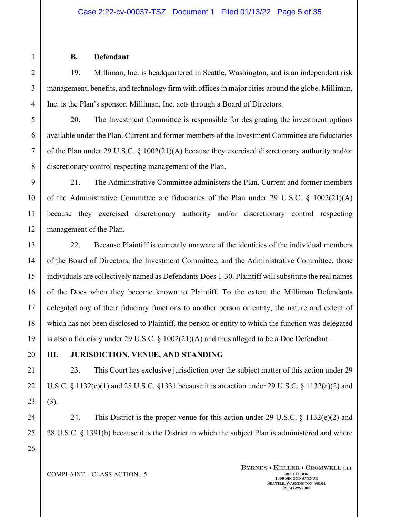### **B. Defendant**

19. Milliman, Inc. is headquartered in Seattle, Washington, and is an independent risk management, benefits, and technology firm with offices in major cities around the globe. Milliman, Inc. is the Plan's sponsor. Milliman, Inc. acts through a Board of Directors.

20. The Investment Committee is responsible for designating the investment options available under the Plan. Current and former members of the Investment Committee are fiduciaries of the Plan under 29 U.S.C. § 1002(21)(A) because they exercised discretionary authority and/or discretionary control respecting management of the Plan.

21. The Administrative Committee administers the Plan. Current and former members of the Administrative Committee are fiduciaries of the Plan under 29 U.S.C. § 1002(21)(A) because they exercised discretionary authority and/or discretionary control respecting management of the Plan.

22. Because Plaintiff is currently unaware of the identities of the individual members of the Board of Directors, the Investment Committee, and the Administrative Committee, those individuals are collectively named as Defendants Does 1-30. Plaintiff will substitute the real names of the Does when they become known to Plaintiff. To the extent the Milliman Defendants delegated any of their fiduciary functions to another person or entity, the nature and extent of which has not been disclosed to Plaintiff, the person or entity to which the function was delegated is also a fiduciary under 29 U.S.C. § 1002(21)(A) and thus alleged to be a Doe Defendant.

## **III. JURISDICTION, VENUE, AND STANDING**

23. This Court has exclusive jurisdiction over the subject matter of this action under 29 U.S.C.  $\S 1132(e)(1)$  and 28 U.S.C.  $\S 1331$  because it is an action under 29 U.S.C.  $\S 1132(a)(2)$  and (3).

24. This District is the proper venue for this action under 29 U.S.C. § 1132(e)(2) and 28 U.S.C. § 1391(b) because it is the District in which the subject Plan is administered and where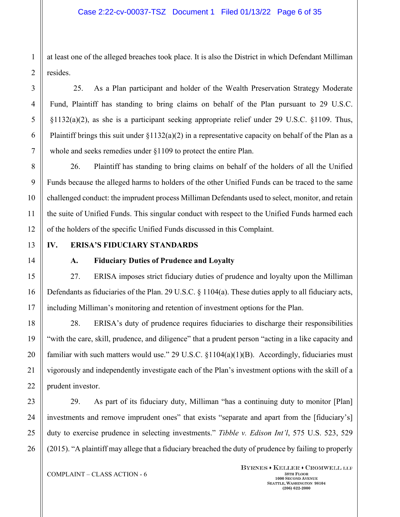at least one of the alleged breaches took place. It is also the District in which Defendant Milliman resides.

25. As a Plan participant and holder of the Wealth Preservation Strategy Moderate Fund, Plaintiff has standing to bring claims on behalf of the Plan pursuant to 29 U.S.C.  $\S1132(a)(2)$ , as she is a participant seeking appropriate relief under 29 U.S.C.  $\S1109$ . Thus, Plaintiff brings this suit under  $\S1132(a)(2)$  in a representative capacity on behalf of the Plan as a whole and seeks remedies under §1109 to protect the entire Plan.

26. Plaintiff has standing to bring claims on behalf of the holders of all the Unified Funds because the alleged harms to holders of the other Unified Funds can be traced to the same challenged conduct: the imprudent process Milliman Defendants used to select, monitor, and retain the suite of Unified Funds. This singular conduct with respect to the Unified Funds harmed each of the holders of the specific Unified Funds discussed in this Complaint.

## **IV. ERISA'S FIDUCIARY STANDARDS**

### **A. Fiduciary Duties of Prudence and Loyalty**

27. ERISA imposes strict fiduciary duties of prudence and loyalty upon the Milliman Defendants as fiduciaries of the Plan. 29 U.S.C. § 1104(a). These duties apply to all fiduciary acts, including Milliman's monitoring and retention of investment options for the Plan.

28. ERISA's duty of prudence requires fiduciaries to discharge their responsibilities "with the care, skill, prudence, and diligence" that a prudent person "acting in a like capacity and familiar with such matters would use." 29 U.S.C. §1104(a)(1)(B). Accordingly, fiduciaries must vigorously and independently investigate each of the Plan's investment options with the skill of a prudent investor.

29. As part of its fiduciary duty, Milliman "has a continuing duty to monitor [Plan] investments and remove imprudent ones" that exists "separate and apart from the [fiduciary's] duty to exercise prudence in selecting investments." *Tibble v. Edison Int'l*, 575 U.S. 523, 529 (2015). "A plaintiff may allege that a fiduciary breached the duty of prudence by failing to properly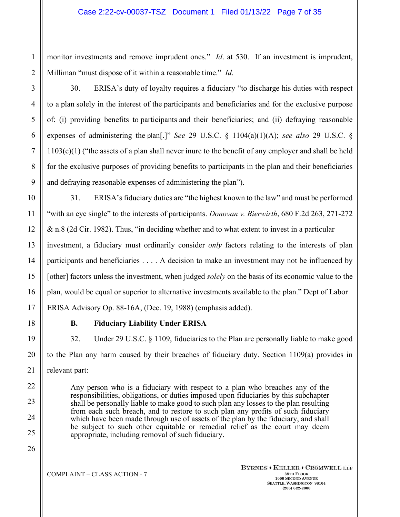monitor investments and remove imprudent ones." *Id*. at 530. If an investment is imprudent, Milliman "must dispose of it within a reasonable time." *Id*.

30. ERISA's duty of loyalty requires a fiduciary "to discharge his duties with respect to a plan solely in the interest of the participants and beneficiaries and for the exclusive purpose of: (i) providing benefits to participants and their beneficiaries; and (ii) defraying reasonable expenses of administering the plan[.]" *See* 29 U.S.C. § 1104(a)(1)(A); *see also* 29 U.S.C. § 1103(c)(1) ("the assets of a plan shall never inure to the benefit of any employer and shall be held for the exclusive purposes of providing benefits to participants in the plan and their beneficiaries and defraying reasonable expenses of administering the plan").

31. ERISA's fiduciary duties are "the highest known to the law" and must be performed "with an eye single" to the interests of participants. *Donovan v. Bierwirth*, 680 F.2d 263, 271-272 & n.8 (2d Cir. 1982). Thus, "in deciding whether and to what extent to invest in a particular investment, a fiduciary must ordinarily consider *only* factors relating to the interests of plan participants and beneficiaries . . . . A decision to make an investment may not be influenced by [other] factors unless the investment, when judged *solely* on the basis of its economic value to the plan, would be equal or superior to alternative investments available to the plan." Dept of Labor ERISA Advisory Op. 88-16A, (Dec. 19, 1988) (emphasis added).

### **B. Fiduciary Liability Under ERISA**

32. Under 29 U.S.C. § 1109, fiduciaries to the Plan are personally liable to make good to the Plan any harm caused by their breaches of fiduciary duty. Section 1109(a) provides in relevant part:

Any person who is a fiduciary with respect to a plan who breaches any of the responsibilities, obligations, or duties imposed upon fiduciaries by this subchapter shall be personally liable to make good to such plan any losses to the plan resulting from each such breach, and to restore to such plan any profits of such fiduciary which have been made through use of assets of the plan by the fiduciary, and shall be subject to such other equitable or remedial relief as the court may deem appropriate, including removal of such fiduciary.

25 26

1

2

3

4

5

6

7

8

9

10

11

12

13

14

15

16

17

18

19

20

21

22

23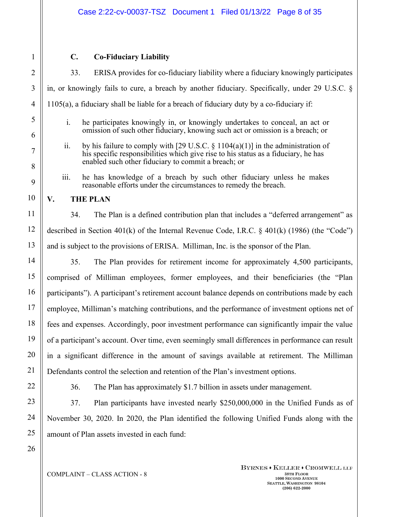1

### **C. Co-Fiduciary Liability**

33. ERISA provides for co-fiduciary liability where a fiduciary knowingly participates in, or knowingly fails to cure, a breach by another fiduciary. Specifically, under 29 U.S.C. § 1105(a), a fiduciary shall be liable for a breach of fiduciary duty by a co-fiduciary if:

- i. he participates knowingly in, or knowingly undertakes to conceal, an act or omission of such other fiduciary, knowing such act or omission is a breach; or
- ii. by his failure to comply with [29 U.S.C.  $\S$  1104(a)(1)] in the administration of his specific responsibilities which give rise to his status as a fiduciary, he has enabled such other fiduciary to commit a breach; or
- iii. he has knowledge of a breach by such other fiduciary unless he makes reasonable efforts under the circumstances to remedy the breach.

### **V. THE PLAN**

34. The Plan is a defined contribution plan that includes a "deferred arrangement" as described in Section 401(k) of the Internal Revenue Code, I.R.C.  $\frac{1}{2}$  401(k) (1986) (the "Code") and is subject to the provisions of ERISA. Milliman, Inc. is the sponsor of the Plan.

35. The Plan provides for retirement income for approximately 4,500 participants, comprised of Milliman employees, former employees, and their beneficiaries (the "Plan participants"). A participant's retirement account balance depends on contributions made by each employee, Milliman's matching contributions, and the performance of investment options net of fees and expenses. Accordingly, poor investment performance can significantly impair the value of a participant's account. Over time, even seemingly small differences in performance can result in a significant difference in the amount of savings available at retirement. The Milliman Defendants control the selection and retention of the Plan's investment options.

36. The Plan has approximately \$1.7 billion in assets under management.

37. Plan participants have invested nearly \$250,000,000 in the Unified Funds as of November 30, 2020. In 2020, the Plan identified the following Unified Funds along with the amount of Plan assets invested in each fund: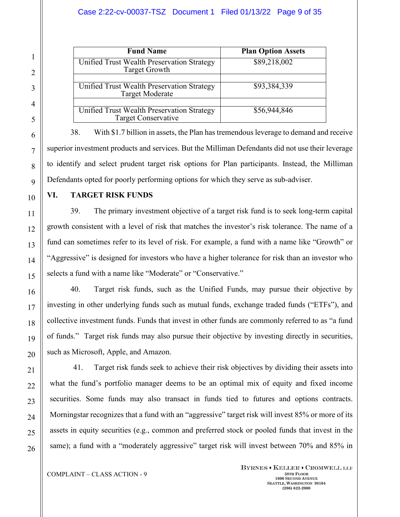**Fund Name Plan Option Assets**  Unified Trust Wealth Preservation Strategy Target Growth \$89,218,002 Unified Trust Wealth Preservation Strategy Target Moderate \$93,384,339 Unified Trust Wealth Preservation Strategy Target Conservative \$56,944,846

38. With \$1.7 billion in assets, the Plan has tremendous leverage to demand and receive superior investment products and services. But the Milliman Defendants did not use their leverage to identify and select prudent target risk options for Plan participants. Instead, the Milliman Defendants opted for poorly performing options for which they serve as sub-adviser.

**VI. TARGET RISK FUNDS**

39. The primary investment objective of a target risk fund is to seek long-term capital growth consistent with a level of risk that matches the investor's risk tolerance. The name of a fund can sometimes refer to its level of risk. For example, a fund with a name like "Growth" or "Aggressive" is designed for investors who have a higher tolerance for risk than an investor who selects a fund with a name like "Moderate" or "Conservative."

40. Target risk funds, such as the Unified Funds, may pursue their objective by investing in other underlying funds such as mutual funds, exchange traded funds ("ETFs"), and collective investment funds. Funds that invest in other funds are commonly referred to as "a fund of funds." Target risk funds may also pursue their objective by investing directly in securities, such as Microsoft, Apple, and Amazon.

41. Target risk funds seek to achieve their risk objectives by dividing their assets into what the fund's portfolio manager deems to be an optimal mix of equity and fixed income securities. Some funds may also transact in funds tied to futures and options contracts. Morningstar recognizes that a fund with an "aggressive" target risk will invest 85% or more of its assets in equity securities (e.g., common and preferred stock or pooled funds that invest in the same); a fund with a "moderately aggressive" target risk will invest between 70% and 85% in

**COMPLAINT** – CLASS ACTION - 9 38TH **FLOOR**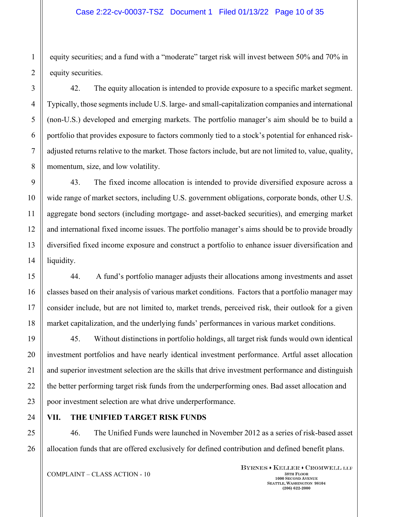### Case 2:22-cv-00037-TSZ Document 1 Filed 01/13/22 Page 10 of 35

equity securities; and a fund with a "moderate" target risk will invest between 50% and 70% in equity securities.

42. The equity allocation is intended to provide exposure to a specific market segment. Typically, those segments include U.S. large- and small-capitalization companies and international (non-U.S.) developed and emerging markets. The portfolio manager's aim should be to build a portfolio that provides exposure to factors commonly tied to a stock's potential for enhanced riskadjusted returns relative to the market. Those factors include, but are not limited to, value, quality, momentum, size, and low volatility.

43. The fixed income allocation is intended to provide diversified exposure across a wide range of market sectors, including U.S. government obligations, corporate bonds, other U.S. aggregate bond sectors (including mortgage- and asset-backed securities), and emerging market and international fixed income issues. The portfolio manager's aims should be to provide broadly diversified fixed income exposure and construct a portfolio to enhance issuer diversification and liquidity.

44. A fund's portfolio manager adjusts their allocations among investments and asset classes based on their analysis of various market conditions. Factors that a portfolio manager may consider include, but are not limited to, market trends, perceived risk, their outlook for a given market capitalization, and the underlying funds' performances in various market conditions.

45. Without distinctions in portfolio holdings, all target risk funds would own identical investment portfolios and have nearly identical investment performance. Artful asset allocation and superior investment selection are the skills that drive investment performance and distinguish the better performing target risk funds from the underperforming ones. Bad asset allocation and poor investment selection are what drive underperformance.

### **VII. THE UNIFIED TARGET RISK FUNDS**

46. The Unified Funds were launched in November 2012 as a series of risk-based asset allocation funds that are offered exclusively for defined contribution and defined benefit plans.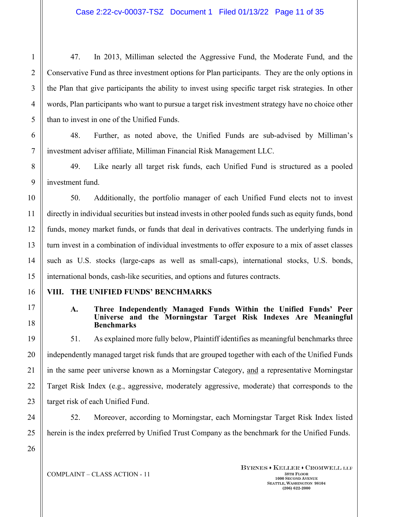47. In 2013, Milliman selected the Aggressive Fund, the Moderate Fund, and the Conservative Fund as three investment options for Plan participants. They are the only options in the Plan that give participants the ability to invest using specific target risk strategies. In other words, Plan participants who want to pursue a target risk investment strategy have no choice other than to invest in one of the Unified Funds.

48. Further, as noted above, the Unified Funds are sub-advised by Milliman's investment adviser affiliate, Milliman Financial Risk Management LLC.

49. Like nearly all target risk funds, each Unified Fund is structured as a pooled investment fund.

50. Additionally, the portfolio manager of each Unified Fund elects not to invest directly in individual securities but instead invests in other pooled funds such as equity funds, bond funds, money market funds, or funds that deal in derivatives contracts. The underlying funds in turn invest in a combination of individual investments to offer exposure to a mix of asset classes such as U.S. stocks (large-caps as well as small-caps), international stocks, U.S. bonds, international bonds, cash-like securities, and options and futures contracts.

### **VIII. THE UNIFIED FUNDS' BENCHMARKS**

#### **A. Three Independently Managed Funds Within the Unified Funds' Peer Universe and the Morningstar Target Risk Indexes Are Meaningful Benchmarks**

51. As explained more fully below, Plaintiff identifies as meaningful benchmarks three independently managed target risk funds that are grouped together with each of the Unified Funds in the same peer universe known as a Morningstar Category, and a representative Morningstar Target Risk Index (e.g., aggressive, moderately aggressive, moderate) that corresponds to the target risk of each Unified Fund.

52. Moreover, according to Morningstar, each Morningstar Target Risk Index listed herein is the index preferred by Unified Trust Company as the benchmark for the Unified Funds.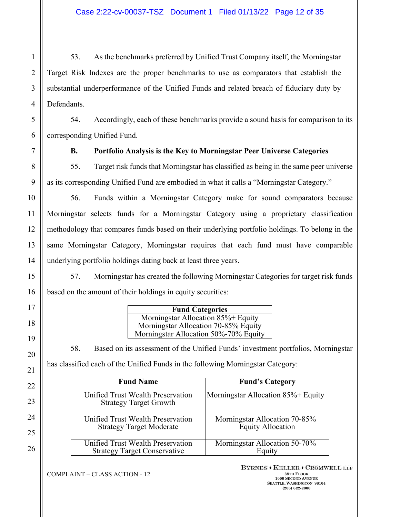53. As the benchmarks preferred by Unified Trust Company itself, the Morningstar Target Risk Indexes are the proper benchmarks to use as comparators that establish the substantial underperformance of the Unified Funds and related breach of fiduciary duty by Defendants.

54. Accordingly, each of these benchmarks provide a sound basis for comparison to its corresponding Unified Fund.

**B. Portfolio Analysis is the Key to Morningstar Peer Universe Categories**

55. Target risk funds that Morningstar has classified as being in the same peer universe as its corresponding Unified Fund are embodied in what it calls a "Morningstar Category."

56. Funds within a Morningstar Category make for sound comparators because Morningstar selects funds for a Morningstar Category using a proprietary classification methodology that compares funds based on their underlying portfolio holdings. To belong in the same Morningstar Category, Morningstar requires that each fund must have comparable underlying portfolio holdings dating back at least three years.

57. Morningstar has created the following Morningstar Categories for target risk funds based on the amount of their holdings in equity securities:

| <b>Fund Categories</b>                |
|---------------------------------------|
| Morningstar Allocation 85%+ Equity    |
| Morningstar Allocation 70-85% Equity  |
| Morningstar Allocation 50%-70% Equity |

58. Based on its assessment of the Unified Funds' investment portfolios, Morningstar has classified each of the Unified Funds in the following Morningstar Category:

| <b>Fund Name</b>                                                   | <b>Fund's Category</b>             |  |
|--------------------------------------------------------------------|------------------------------------|--|
| Unified Trust Wealth Preservation<br><b>Strategy Target Growth</b> | Morningstar Allocation 85%+ Equity |  |
| Unified Trust Wealth Preservation                                  | Morningstar Allocation 70-85%      |  |
| <b>Strategy Target Moderate</b>                                    | <b>Equity Allocation</b>           |  |
| Unified Trust Wealth Preservation                                  | Morningstar Allocation 50-70%      |  |
| <b>Strategy Target Conservative</b>                                | Equity                             |  |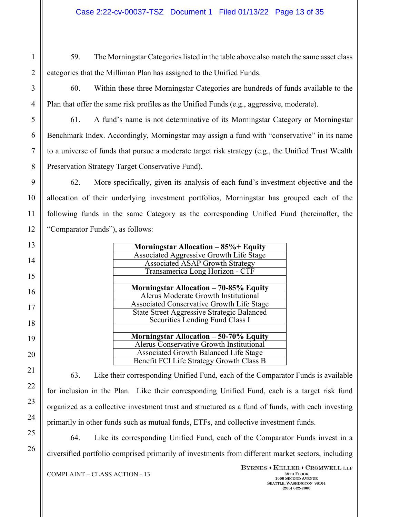59. The Morningstar Categories listed in the table above also match the same asset class categories that the Milliman Plan has assigned to the Unified Funds.

60. Within these three Morningstar Categories are hundreds of funds available to the Plan that offer the same risk profiles as the Unified Funds (e.g., aggressive, moderate).

61. A fund's name is not determinative of its Morningstar Category or Morningstar Benchmark Index. Accordingly, Morningstar may assign a fund with "conservative" in its name to a universe of funds that pursue a moderate target risk strategy (e.g., the Unified Trust Wealth Preservation Strategy Target Conservative Fund).

62. More specifically, given its analysis of each fund's investment objective and the allocation of their underlying investment portfolios, Morningstar has grouped each of the following funds in the same Category as the corresponding Unified Fund (hereinafter, the "Comparator Funds"), as follows:

| Morningstar Allocation $-85\% +$ Equity           |
|---------------------------------------------------|
| <b>Associated Aggressive Growth Life Stage</b>    |
| <b>Associated ASAP Growth Strategy</b>            |
| Transamerica Long Horizon - CTF                   |
|                                                   |
| Morningstar Allocation - 70-85% Equity            |
| <b>Alerus Moderate Growth Institutional</b>       |
| <b>Associated Conservative Growth Life Stage</b>  |
| <b>State Street Aggressive Strategic Balanced</b> |
| Securities Lending Fund Class I                   |
|                                                   |
| Morningstar Allocation - 50-70% Equity            |
| Alerus Conservative Growth Institutional          |
| <b>Associated Growth Balanced Life Stage</b>      |
| Benefit FCI Life Strategy Growth Class B          |

63. Like their corresponding Unified Fund, each of the Comparator Funds is available for inclusion in the Plan. Like their corresponding Unified Fund, each is a target risk fund organized as a collective investment trust and structured as a fund of funds, with each investing primarily in other funds such as mutual funds, ETFs, and collective investment funds.

64. Like its corresponding Unified Fund, each of the Comparator Funds invest in a diversified portfolio comprised primarily of investments from different market sectors, including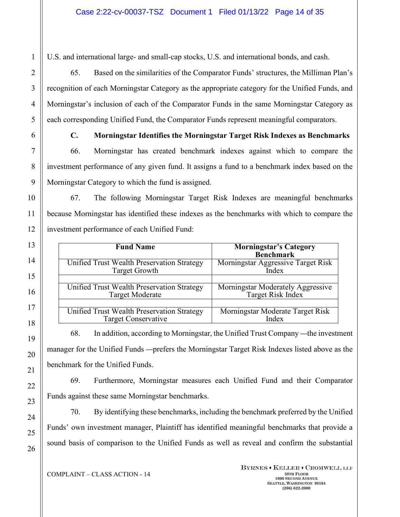U.S. and international large- and small-cap stocks, U.S. and international bonds, and cash.

65. Based on the similarities of the Comparator Funds' structures, the Milliman Plan's recognition of each Morningstar Category as the appropriate category for the Unified Funds, and Morningstar's inclusion of each of the Comparator Funds in the same Morningstar Category as each corresponding Unified Fund, the Comparator Funds represent meaningful comparators.

### **C. Morningstar Identifies the Morningstar Target Risk Indexes as Benchmarks**

66. Morningstar has created benchmark indexes against which to compare the investment performance of any given fund. It assigns a fund to a benchmark index based on the Morningstar Category to which the fund is assigned.

67. The following Morningstar Target Risk Indexes are meaningful benchmarks because Morningstar has identified these indexes as the benchmarks with which to compare the investment performance of each Unified Fund:

| <b>Fund Name</b>                           | <b>Morningstar's Category</b><br><b>Benchmark</b> |
|--------------------------------------------|---------------------------------------------------|
| Unified Trust Wealth Preservation Strategy | Morningstar Aggressive Target Risk                |
| <b>Target Growth</b>                       | Index                                             |
| Unified Trust Wealth Preservation Strategy | Morningstar Moderately Aggressive                 |
| <b>Target Moderate</b>                     | Target Risk Index                                 |
| Unified Trust Wealth Preservation Strategy | Morningstar Moderate Target Risk                  |
| <b>Target Conservative</b>                 | Index                                             |

68. In addition, according to Morningstar, the Unified Trust Company —the investment manager for the Unified Funds —prefers the Morningstar Target Risk Indexes listed above as the benchmark for the Unified Funds.

69. Furthermore, Morningstar measures each Unified Fund and their Comparator Funds against these same Morningstar benchmarks.

70. By identifying these benchmarks, including the benchmark preferred by the Unified Funds' own investment manager, Plaintiff has identified meaningful benchmarks that provide a sound basis of comparison to the Unified Funds as well as reveal and confirm the substantial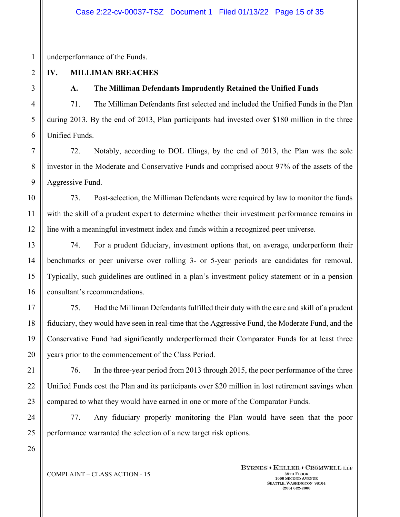underperformance of the Funds.

# **IV. MILLIMAN BREACHES**

## **A. The Milliman Defendants Imprudently Retained the Unified Funds**

71. The Milliman Defendants first selected and included the Unified Funds in the Plan during 2013. By the end of 2013, Plan participants had invested over \$180 million in the three Unified Funds.

72. Notably, according to DOL filings, by the end of 2013, the Plan was the sole investor in the Moderate and Conservative Funds and comprised about 97% of the assets of the Aggressive Fund.

73. Post-selection, the Milliman Defendants were required by law to monitor the funds with the skill of a prudent expert to determine whether their investment performance remains in line with a meaningful investment index and funds within a recognized peer universe.

74. For a prudent fiduciary, investment options that, on average, underperform their benchmarks or peer universe over rolling 3- or 5-year periods are candidates for removal. Typically, such guidelines are outlined in a plan's investment policy statement or in a pension consultant's recommendations.

75. Had the Milliman Defendants fulfilled their duty with the care and skill of a prudent fiduciary, they would have seen in real-time that the Aggressive Fund, the Moderate Fund, and the Conservative Fund had significantly underperformed their Comparator Funds for at least three years prior to the commencement of the Class Period.

76. In the three-year period from 2013 through 2015, the poor performance of the three Unified Funds cost the Plan and its participants over \$20 million in lost retirement savings when compared to what they would have earned in one or more of the Comparator Funds.

77. Any fiduciary properly monitoring the Plan would have seen that the poor performance warranted the selection of a new target risk options.

1

## $COMPLANT - CLASS$   $ACTION - 15$  38TH **FLOOR**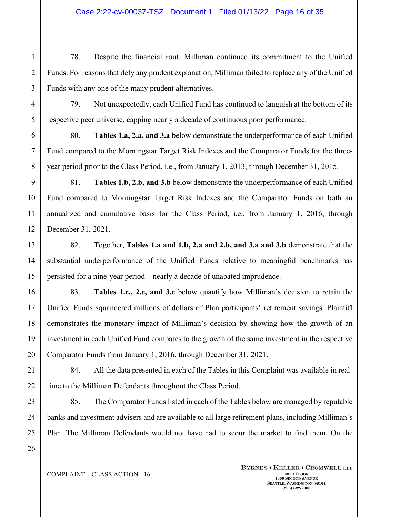78. Despite the financial rout, Milliman continued its commitment to the Unified Funds. For reasons that defy any prudent explanation, Milliman failed to replace any of the Unified Funds with any one of the many prudent alternatives.

79. Not unexpectedly, each Unified Fund has continued to languish at the bottom of its respective peer universe, capping nearly a decade of continuous poor performance.

80. **Tables 1.a, 2.a, and 3.a** below demonstrate the underperformance of each Unified Fund compared to the Morningstar Target Risk Indexes and the Comparator Funds for the threeyear period prior to the Class Period, i.e., from January 1, 2013, through December 31, 2015.

81. **Tables 1.b, 2.b, and 3.b** below demonstrate the underperformance of each Unified Fund compared to Morningstar Target Risk Indexes and the Comparator Funds on both an annualized and cumulative basis for the Class Period, i.e., from January 1, 2016, through December 31, 2021.

82. Together, **Tables 1.a and 1.b, 2.a and 2.b, and 3.a and 3.b** demonstrate that the substantial underperformance of the Unified Funds relative to meaningful benchmarks has persisted for a nine-year period – nearly a decade of unabated imprudence.

83. **Tables 1.c., 2.c, and 3.c** below quantify how Milliman's decision to retain the Unified Funds squandered millions of dollars of Plan participants' retirement savings. Plaintiff demonstrates the monetary impact of Milliman's decision by showing how the growth of an investment in each Unified Fund compares to the growth of the same investment in the respective Comparator Funds from January 1, 2016, through December 31, 2021.

84. All the data presented in each of the Tables in this Complaint was available in realtime to the Milliman Defendants throughout the Class Period.

85. The Comparator Funds listed in each of the Tables below are managed by reputable banks and investment advisers and are available to all large retirement plans, including Milliman's Plan. The Milliman Defendants would not have had to scour the market to find them. On the

1

2

3

4

5

6

7

8

9

10

11

12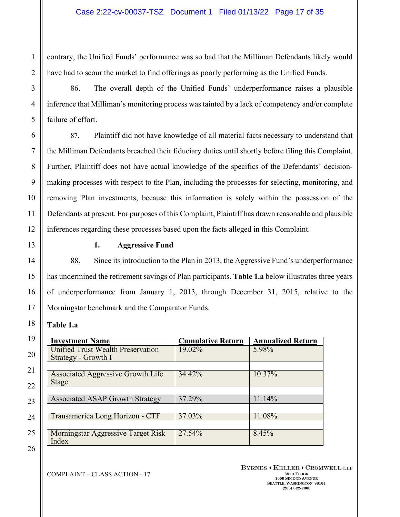contrary, the Unified Funds' performance was so bad that the Milliman Defendants likely would have had to scour the market to find offerings as poorly performing as the Unified Funds.

86. The overall depth of the Unified Funds' underperformance raises a plausible inference that Milliman's monitoring process was tainted by a lack of competency and/or complete failure of effort.

87. Plaintiff did not have knowledge of all material facts necessary to understand that the Milliman Defendants breached their fiduciary duties until shortly before filing this Complaint. Further, Plaintiff does not have actual knowledge of the specifics of the Defendants' decisionmaking processes with respect to the Plan, including the processes for selecting, monitoring, and removing Plan investments, because this information is solely within the possession of the Defendants at present. For purposes of this Complaint, Plaintiff has drawn reasonable and plausible inferences regarding these processes based upon the facts alleged in this Complaint.

### **1. Aggressive Fund**

88. Since its introduction to the Plan in 2013, the Aggressive Fund's underperformance has undermined the retirement savings of Plan participants. **Table 1.a** below illustrates three years of underperformance from January 1, 2013, through December 31, 2015, relative to the Morningstar benchmark and the Comparator Funds.

### **Table 1.a**

| <b>Investment Name</b>                   | <b>Cumulative Return</b> | <b>Annualized Return</b> |
|------------------------------------------|--------------------------|--------------------------|
| Unified Trust Wealth Preservation        | 19.02%                   | 5.98%                    |
| Strategy - Growth I                      |                          |                          |
|                                          |                          |                          |
| <b>Associated Aggressive Growth Life</b> | 34.42%                   | 10.37%                   |
| Stage                                    |                          |                          |
|                                          |                          |                          |
| <b>Associated ASAP Growth Strategy</b>   | 37.29%                   | 11.14%                   |
|                                          |                          |                          |
| Transamerica Long Horizon - CTF          | 37.03%                   | 11.08%                   |
|                                          |                          |                          |
| Morningstar Aggressive Target Risk       | 27.54%                   | 8.45%                    |
| Index                                    |                          |                          |

BYRNES . KELLER . CROMWELL LLP **1000 SECOND AVENUE SEATTLE, WASHINGTON 98104 (206) 622-2000**

21

22

23

24

25

26

1

2

3

4

5

6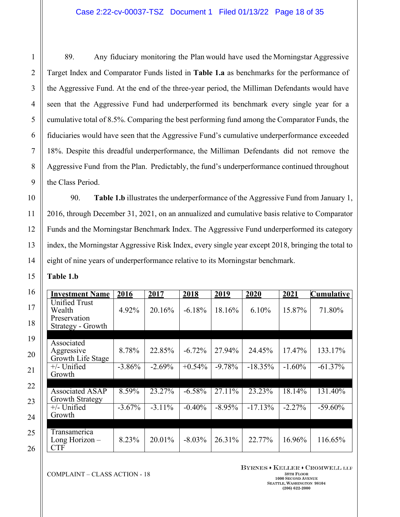89. Any fiduciary monitoring the Plan would have used the Morningstar Aggressive Target Index and Comparator Funds listed in **Table 1.a** as benchmarks for the performance of the Aggressive Fund. At the end of the three-year period, the Milliman Defendants would have seen that the Aggressive Fund had underperformed its benchmark every single year for a cumulative total of 8.5%. Comparing the best performing fund among the Comparator Funds, the fiduciaries would have seen that the Aggressive Fund's cumulative underperformance exceeded 18%. Despite this dreadful underperformance, the Milliman Defendants did not remove the Aggressive Fund from the Plan. Predictably, the fund's underperformance continued throughout the Class Period.

90. **Table 1.b** illustrates the underperformance of the Aggressive Fund from January 1, 2016, through December 31, 2021, on an annualized and cumulative basis relative to Comparator Funds and the Morningstar Benchmark Index. The Aggressive Fund underperformed its category index, the Morningstar Aggressive Risk Index, every single year except 2018, bringing the total to eight of nine years of underperformance relative to its Morningstar benchmark.

**Table 1.b** 

| <b>Investment Name</b>                                              | 2016      | 2017      | 2018      | 2019      | 2020       | 2021      | <b>Cumulative</b> |
|---------------------------------------------------------------------|-----------|-----------|-----------|-----------|------------|-----------|-------------------|
| <b>Unified Trust</b><br>Wealth<br>Preservation<br>Strategy - Growth | 4.92%     | 20.16%    | $-6.18%$  | 18.16%    | 6.10%      | 15.87%    | 71.80%            |
|                                                                     |           |           |           |           |            |           |                   |
| Associated<br>Aggressive<br>Growth Life Stage                       | 8.78%     | 22.85%    | $-6.72%$  | 27.94%    | 24.45%     | 17.47%    | 133.17%           |
| $+/-$ Unified<br>Growth                                             | $-3.86\%$ | $-2.69%$  | $+0.54%$  | $-9.78%$  | $-18.35\%$ | $-1.60\%$ | $-61.37\%$        |
| <b>Associated ASAP</b><br>Growth Strategy                           | 8.59%     | 23.27%    | $-6.58\%$ | 27.11%    | 23.23%     | 18.14%    | 131.40%           |
| $+/-$ Unified<br>Growth                                             | $-3.67\%$ | $-3.11\%$ | $-0.40%$  | $-8.95\%$ | $-17.13%$  | $-2.27%$  | $-59.60\%$        |
|                                                                     |           |           |           |           |            |           |                   |
| Transamerica<br>Long Horizon -<br><b>CTF</b>                        | 8.23%     | 20.01%    | $-8.03\%$ | 26.31%    | 22.77%     | 16.96%    | 116.65%           |

 $COMPLANT - CLASS$   $ACTION - 18$  38TH **FLOOR** 

BYRNES . KELLER . CROMWELL LLP

**1000 SECOND AVENUE SEATTLE, WASHINGTON 98104 (206) 622-2000**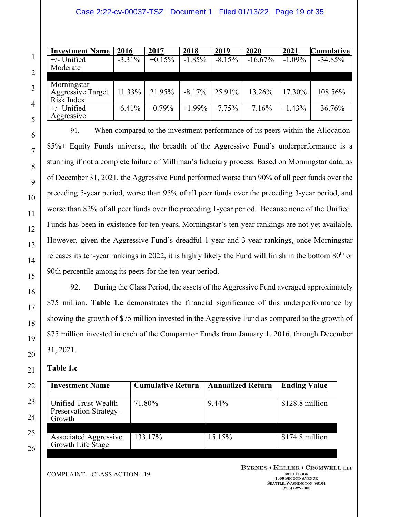### Case 2:22-cv-00037-TSZ Document 1 Filed 01/13/22 Page 19 of 35

| <b>Investment Name</b>   | 2016      | 2017     | 2018      | 2019     | 2020      | 2021      | <b>Cumulative</b> |
|--------------------------|-----------|----------|-----------|----------|-----------|-----------|-------------------|
| $+/-$ Unified            | $-3.31\%$ | $+0.15%$ | $-1.85%$  | $-8.15%$ | $-16.67%$ | $-1.09\%$ | $-34.85%$         |
| Moderate                 |           |          |           |          |           |           |                   |
|                          |           |          |           |          |           |           |                   |
| Morningstar              |           |          |           |          |           |           |                   |
| <b>Aggressive Target</b> | 11.33%    | 21.95%   | $-8.17\%$ | 25.91%   | 13.26%    | 17.30%    | 108.56%           |
| Risk Index               |           |          |           |          |           |           |                   |
| $+/-$ Unified            | $-6.41%$  | $-0.79%$ | $+1.99\%$ | $-7.75%$ | $-7.16%$  | $-1.43%$  | $-36.76%$         |
| Aggressive               |           |          |           |          |           |           |                   |

91. When compared to the investment performance of its peers within the Allocation-85%+ Equity Funds universe, the breadth of the Aggressive Fund's underperformance is a stunning if not a complete failure of Milliman's fiduciary process. Based on Morningstar data, as of December 31, 2021, the Aggressive Fund performed worse than 90% of all peer funds over the preceding 5-year period, worse than 95% of all peer funds over the preceding 3-year period, and worse than 82% of all peer funds over the preceding 1-year period. Because none of the Unified Funds has been in existence for ten years, Morningstar's ten-year rankings are not yet available. However, given the Aggressive Fund's dreadful 1-year and 3-year rankings, once Morningstar releases its ten-year rankings in 2022, it is highly likely the Fund will finish in the bottom 80<sup>th</sup> or 90th percentile among its peers for the ten-year period.

92. During the Class Period, the assets of the Aggressive Fund averaged approximately \$75 million. **Table 1.c** demonstrates the financial significance of this underperformance by showing the growth of \$75 million invested in the Aggressive Fund as compared to the growth of \$75 million invested in each of the Comparator Funds from January 1, 2016, through December 31, 2021.

### **Table 1.c**

| <b>Investment Name</b>       | <b>Cumulative Return</b> | <b>Annualized Return</b> | <b>Ending Value</b> |
|------------------------------|--------------------------|--------------------------|---------------------|
|                              |                          |                          |                     |
| Unified Trust Wealth         | 71.80%                   | 9.44%                    | \$128.8 million     |
| Preservation Strategy -      |                          |                          |                     |
| Growth                       |                          |                          |                     |
|                              |                          |                          |                     |
| <b>Associated Aggressive</b> | 133.17%                  | 15.15%                   | \$174.8 million     |
| Growth Life Stage            |                          |                          |                     |
|                              |                          |                          |                     |

 $COMPLANT - CLASS$   $ACTION - 19$  38TH **FLOOR** 

BYRNES . KELLER . CROMWELL LLP **1000 SECOND AVENUE SEATTLE, WASHINGTON 98104 (206) 622-2000**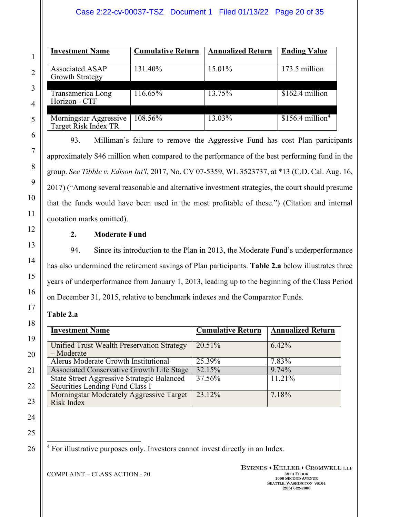### Case 2:22-cv-00037-TSZ Document 1 Filed 01/13/22 Page 20 of 35

| <b>Investment Name</b>                           | <b>Cumulative Return</b> | <b>Annualized Return</b> | <b>Ending Value</b>                      |
|--------------------------------------------------|--------------------------|--------------------------|------------------------------------------|
| <b>Associated ASAP</b><br><b>Growth Strategy</b> | 131.40%                  | 15.01%                   | 173.5 million                            |
| Transamerica Long<br>Horizon - CTF               | 116.65%                  | 13.75%                   | \$162.4 million                          |
| Morningstar Aggressive<br>Target Risk Index TR   | 108.56%                  | 13.03%                   | $$1\overline{56.4}$ million <sup>4</sup> |

93. Milliman's failure to remove the Aggressive Fund has cost Plan participants approximately \$46 million when compared to the performance of the best performing fund in the group. *See Tibble v. Edison Int'l*, 2017, No. CV 07-5359, WL 3523737, at \*13 (C.D. Cal. Aug. 16, 2017) ("Among several reasonable and alternative investment strategies, the court should presume that the funds would have been used in the most profitable of these.") (Citation and internal quotation marks omitted).

### **2. Moderate Fund**

94. Since its introduction to the Plan in 2013, the Moderate Fund's underperformance has also undermined the retirement savings of Plan participants. **Table 2.a** below illustrates three years of underperformance from January 1, 2013, leading up to the beginning of the Class Period on December 31, 2015, relative to benchmark indexes and the Comparator Funds.

### **Table 2.a**

| <b>Investment Name</b>                                                               | <b>Cumulative Return</b> | <b>Annualized Return</b> |
|--------------------------------------------------------------------------------------|--------------------------|--------------------------|
| Unified Trust Wealth Preservation Strategy<br>$-Moderate$                            | 20.51%                   | $6.42\%$                 |
| Alerus Moderate Growth Institutional                                                 | 25.39%                   | 7.83%                    |
| Associated Conservative Growth Life Stage                                            | 32.15%                   | 9.74%                    |
| <b>State Street Aggressive Strategic Balanced</b><br>Securities Lending Fund Class I | 37.56%                   | 11.21%                   |
| Morningstar Moderately Aggressive Target<br>Risk Index                               | 23.12%                   | 7.18%                    |

25

<span id="page-19-0"></span>26

1

2

3

4

5

6

7

8

9

10

11

12

13

14

15

16

17

18

19

20

21

22

23

24

<sup>4</sup> For illustrative purposes only. Investors cannot invest directly in an Index.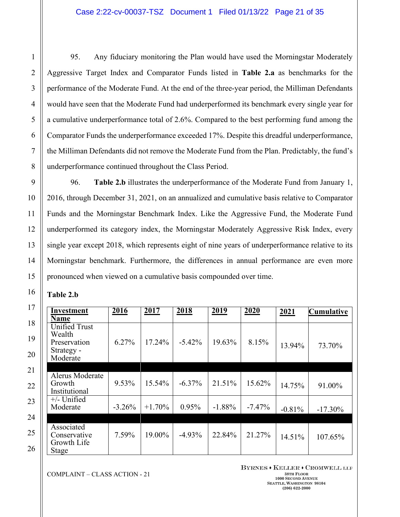95. Any fiduciary monitoring the Plan would have used the Morningstar Moderately Aggressive Target Index and Comparator Funds listed in **Table 2.a** as benchmarks for the performance of the Moderate Fund. At the end of the three-year period, the Milliman Defendants would have seen that the Moderate Fund had underperformed its benchmark every single year for a cumulative underperformance total of 2.6%. Compared to the best performing fund among the Comparator Funds the underperformance exceeded 17%. Despite this dreadful underperformance, the Milliman Defendants did not remove the Moderate Fund from the Plan. Predictably, the fund's underperformance continued throughout the Class Period.

96. **Table 2.b** illustrates the underperformance of the Moderate Fund from January 1, 2016, through December 31, 2021, on an annualized and cumulative basis relative to Comparator Funds and the Morningstar Benchmark Index. Like the Aggressive Fund, the Moderate Fund underperformed its category index, the Morningstar Moderately Aggressive Risk Index, every single year except 2018, which represents eight of nine years of underperformance relative to its Morningstar benchmark. Furthermore, the differences in annual performance are even more pronounced when viewed on a cumulative basis compounded over time.

| <b>Table 2.b</b> |  |
|------------------|--|
|------------------|--|

| <b>Investment</b><br><b>Name</b>                                         | 2016     | 2017     | 2018      | 2019     | 2020      | 2021     | <b>Cumulative</b> |
|--------------------------------------------------------------------------|----------|----------|-----------|----------|-----------|----------|-------------------|
| <b>Unified Trust</b><br>Wealth<br>Preservation<br>Strategy -<br>Moderate | 6.27%    | 17.24%   | $-5.42%$  | 19.63%   | 8.15%     | 13.94%   | 73.70%            |
| Alerus Moderate<br>Growth<br>Institutional                               | 9.53%    | 15.54%   | $-6.37\%$ | 21.51%   | 15.62%    | 14.75%   | 91.00%            |
| $+/-$ Unified<br>Moderate                                                | $-3.26%$ | $+1.70%$ | 0.95%     | $-1.88%$ | $-7.47\%$ | $-0.81%$ | $-17.30\%$        |
| Associated<br>Conservative<br>Growth Life<br><b>Stage</b>                | 7.59%    | 19.00%   | $-4.93\%$ | 22.84%   | 21.27%    | 14.51%   | 107.65%           |

**COMPLAINT** – CLASS ACTION - 21 **38TH FLOOR** 

BYRNES . KELLER . CROMWELL LLP **1000 SECOND AVENUE SEATTLE, WASHINGTON 98104 (206) 622-2000**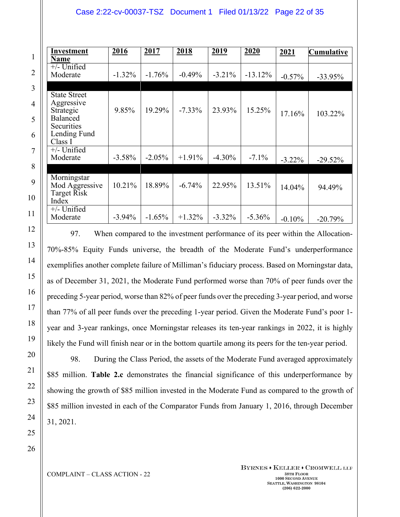### Case 2:22-cv-00037-TSZ Document 1 Filed 01/13/22 Page 22 of 35

| Investment<br><b>Name</b>                                                                                  | 2016      | 2017     | 2018      | <u>2019</u> | 2020      | 2021      | <b>Cumulative</b> |
|------------------------------------------------------------------------------------------------------------|-----------|----------|-----------|-------------|-----------|-----------|-------------------|
| $+/-$ Unified<br>Moderate                                                                                  | $-1.32\%$ | $-1.76%$ | $-0.49%$  | $-3.21\%$   | $-13.12%$ | $-0.57%$  | $-33.95%$         |
| <b>State Street</b><br>Aggressive<br>Strategic<br><b>Balanced</b><br>Securities<br>Lending Fund<br>Class I | 9.85%     | 19.29%   | $-7.33\%$ | 23.93%      | 15.25%    | 17.16%    | 103.22%           |
| $+/-$ Unified<br>Moderate                                                                                  | $-3.58\%$ | $-2.05%$ | $+1.91%$  | $-4.30\%$   | $-7.1\%$  | $-3.22\%$ | $-29.52%$         |
| Morningstar<br>Mod Aggressive<br>Target Risk<br>Index                                                      | 10.21%    | 18.89%   | $-6.74%$  | 22.95%      | 13.51%    | 14.04%    | 94.49%            |
| $+/-$ Unified<br>Moderate                                                                                  | $-3.94\%$ | $-1.65%$ | $+1.32\%$ | $-3.32\%$   | $-5.36\%$ | $-0.10%$  | $-20.79%$         |

97. When compared to the investment performance of its peer within the Allocation-70%-85% Equity Funds universe, the breadth of the Moderate Fund's underperformance exemplifies another complete failure of Milliman's fiduciary process. Based on Morningstar data, as of December 31, 2021, the Moderate Fund performed worse than 70% of peer funds over the preceding 5-year period, worse than 82% of peer funds over the preceding 3-year period, and worse than 77% of all peer funds over the preceding 1-year period. Given the Moderate Fund's poor 1 year and 3-year rankings, once Morningstar releases its ten-year rankings in 2022, it is highly likely the Fund will finish near or in the bottom quartile among its peers for the ten-year period.

98. During the Class Period, the assets of the Moderate Fund averaged approximately \$85 million. **Table 2.c** demonstrates the financial significance of this underperformance by showing the growth of \$85 million invested in the Moderate Fund as compared to the growth of \$85 million invested in each of the Comparator Funds from January 1, 2016, through December 31, 2021.

26

1

2

3

4

5

6

7

8

9

10

11

12

13

14

15

16

17

18

19

20

21

22

23

24

25

**COMPLAINT** – CLASS ACTION - 22 38TH **FLOOR** 

BYRNES . KELLER . CROMWELL LLP **1000 SECOND AVENUE SEATTLE, WASHINGTON 98104 (206) 622-2000**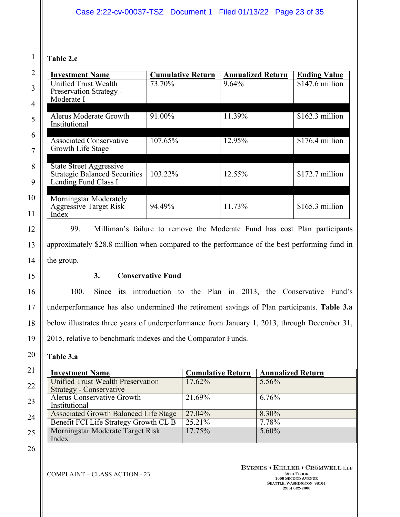## **Table 2.c**

1

2

3

4

5

6

7

8

9

10

11

12

13

14

15

16

17

18

19

20

21

22

23

24

| <b>Investment Name</b>                                                                         | <b>Cumulative Return</b> | <b>Annualized Return</b> | <b>Ending Value</b> |
|------------------------------------------------------------------------------------------------|--------------------------|--------------------------|---------------------|
| Unified Trust Wealth<br>Preservation Strategy -<br>Moderate I                                  | 73.70%                   | 9.64%                    | $$147.6$ million    |
| Alerus Moderate Growth<br>Institutional                                                        | 91.00%                   | 11.39%                   | $$162.3$ million    |
| <b>Associated Conservative</b><br>Growth Life Stage                                            | 107.65%                  | 12.95%                   | $$176.4$ million    |
| <b>State Street Aggressive</b><br><b>Strategic Balanced Securities</b><br>Lending Fund Class I | 103.22%                  | 12.55%                   | $$172.7$ million    |
| Morningstar Moderately<br><b>Aggressive Target Risk</b><br>Index                               | 94.49%                   | 11.73%                   | $$165.3$ million    |

99. Milliman's failure to remove the Moderate Fund has cost Plan participants approximately \$28.8 million when compared to the performance of the best performing fund in the group.

### **3. Conservative Fund**

100. Since its introduction to the Plan in 2013, the Conservative Fund's underperformance has also undermined the retirement savings of Plan participants. **Table 3.a** below illustrates three years of underperformance from January 1, 2013, through December 31, 2015, relative to benchmark indexes and the Comparator Funds.

## **Table 3.a**

| <b>Investment Name</b>                       | <b>Cumulative Return</b> | <b>Annualized Return</b> |
|----------------------------------------------|--------------------------|--------------------------|
| Unified Trust Wealth Preservation            | 17.62%                   | $5.56\%$                 |
| Strategy - Conservative                      |                          |                          |
| <b>Alerus Conservative Growth</b>            | 21.69%                   | 6.76%                    |
| Institutional                                |                          |                          |
| <b>Associated Growth Balanced Life Stage</b> | 27.04%                   | 8.30%                    |
| Benefit FCI Life Strategy Growth CL B        | 25.21%                   | 7.78%                    |
| Morningstar Moderate Target Risk             | 17.75%                   | $5.60\%$                 |
| Index                                        |                          |                          |

26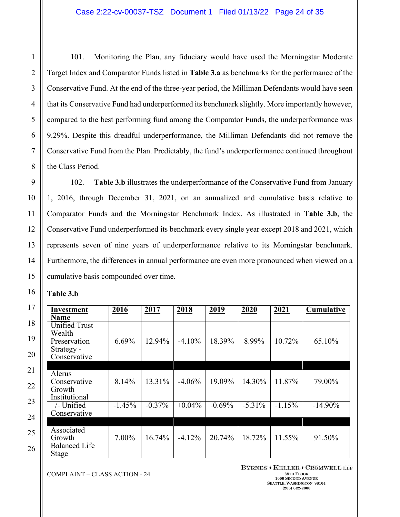101. Monitoring the Plan, any fiduciary would have used the Morningstar Moderate Target Index and Comparator Funds listed in **Table 3.a** as benchmarks for the performance of the Conservative Fund. At the end of the three-year period, the Milliman Defendants would have seen that its Conservative Fund had underperformed its benchmark slightly. More importantly however, compared to the best performing fund among the Comparator Funds, the underperformance was 9.29%. Despite this dreadful underperformance, the Milliman Defendants did not remove the Conservative Fund from the Plan. Predictably, the fund's underperformance continued throughout the Class Period.

102. **Table 3.b** illustrates the underperformance of the Conservative Fund from January 1, 2016, through December 31, 2021, on an annualized and cumulative basis relative to Comparator Funds and the Morningstar Benchmark Index. As illustrated in **Table 3.b**, the Conservative Fund underperformed its benchmark every single year except 2018 and 2021, which represents seven of nine years of underperformance relative to its Morningstar benchmark. Furthermore, the differences in annual performance are even more pronounced when viewed on a cumulative basis compounded over time.

| <b>Table 3.b</b> |  |
|------------------|--|
|------------------|--|

| Investment                                                                   | 2016     | <u>2017</u> | 2018      | 2019     | 2020      | 2021     | Cumulative |
|------------------------------------------------------------------------------|----------|-------------|-----------|----------|-----------|----------|------------|
| <b>Name</b>                                                                  |          |             |           |          |           |          |            |
| <b>Unified Trust</b><br>Wealth<br>Preservation<br>Strategy -<br>Conservative | 6.69%    | 12.94%      | $-4.10%$  | 18.39%   | 8.99%     | 10.72%   | 65.10%     |
|                                                                              |          |             |           |          |           |          |            |
| Alerus<br>Conservative<br>Growth<br>Institutional                            | 8.14%    | 13.31%      | $-4.06\%$ | 19.09%   | 14.30%    | 11.87%   | 79.00%     |
| $+/-$ Unified<br>Conservative                                                | $-1.45%$ | $-0.37%$    | $+0.04\%$ | $-0.69%$ | $-5.31\%$ | $-1.15%$ | $-14.90\%$ |
| Associated<br>Growth<br><b>Balanced Life</b><br><b>Stage</b>                 | $7.00\%$ | 16.74%      | $-4.12\%$ | 20.74%   | 18.72%    | 11.55%   | 91.50%     |

**COMPLAINT** – CLASS ACTION - 24 38TH **BLOOK** 

BYRNES . KELLER . CROMWELL LLP **1000 SECOND AVENUE SEATTLE, WASHINGTON 98104 (206) 622-2000**

25

26

1

2

3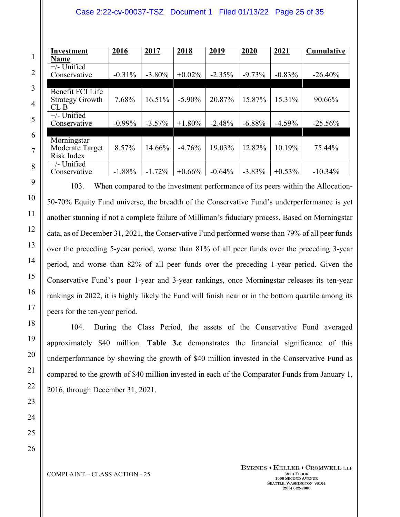### Case 2:22-cv-00037-TSZ Document 1 Filed 01/13/22 Page 25 of 35

| <b>Investment</b>      | 2016      | <u>2017</u> | 2018      | <u>2019</u> | 2020      | <u>2021</u> | <b>Cumulative</b> |
|------------------------|-----------|-------------|-----------|-------------|-----------|-------------|-------------------|
| Name                   |           |             |           |             |           |             |                   |
| $+/-$ Unified          |           |             |           |             |           |             |                   |
| Conservative           | $-0.31\%$ | $-3.80\%$   | $+0.02\%$ | $-2.35%$    | $-9.73%$  | $-0.83%$    | $-26.40%$         |
|                        |           |             |           |             |           |             |                   |
| Benefit FCI Life       |           |             |           |             |           |             |                   |
| <b>Strategy Growth</b> | 7.68%     | 16.51%      | $-5.90\%$ | 20.87%      | 15.87%    | 15.31%      | 90.66%            |
| CLB                    |           |             |           |             |           |             |                   |
| $+/-$ Unified          |           |             |           |             |           |             |                   |
| Conservative           | $-0.99\%$ | $-3.57\%$   | $+1.80\%$ | $-2.48%$    | $-6.88%$  | $-4.59%$    | $-25.56\%$        |
|                        |           |             |           |             |           |             |                   |
| Morningstar            |           |             |           |             |           |             |                   |
| Moderate Target        | 8.57%     | 14.66%      | $-4.76%$  | 19.03%      | 12.82%    | 10.19%      | 75.44%            |
| Risk Index             |           |             |           |             |           |             |                   |
| $+/-$ Unified          |           |             |           |             |           |             |                   |
| Conservative           | $-1.88%$  | $-1.72%$    | $+0.66%$  | $-0.64%$    | $-3.83\%$ | $+0.53\%$   | $-10.34%$         |

103. When compared to the investment performance of its peers within the Allocation-50-70% Equity Fund universe, the breadth of the Conservative Fund's underperformance is yet another stunning if not a complete failure of Milliman's fiduciary process. Based on Morningstar data, as of December 31, 2021, the Conservative Fund performed worse than 79% of all peer funds over the preceding 5-year period, worse than 81% of all peer funds over the preceding 3-year period, and worse than 82% of all peer funds over the preceding 1-year period. Given the Conservative Fund's poor 1-year and 3-year rankings, once Morningstar releases its ten-year rankings in 2022, it is highly likely the Fund will finish near or in the bottom quartile among its peers for the ten-year period.

104. During the Class Period, the assets of the Conservative Fund averaged approximately \$40 million. **Table 3.c** demonstrates the financial significance of this underperformance by showing the growth of \$40 million invested in the Conservative Fund as compared to the growth of \$40 million invested in each of the Comparator Funds from January 1, 2016, through December 31, 2021.

23 24 25

26

1

2

3

4

5

6

7

8

9

10

11

12

13

14

15

16

17

18

19

20

21

22

**COMPLAINT** – CLASS ACTION - 25 38TH **FLOOR** 

BYRNES . KELLER . CROMWELL LLP **1000 SECOND AVENUE SEATTLE, WASHINGTON 98104 (206) 622-2000**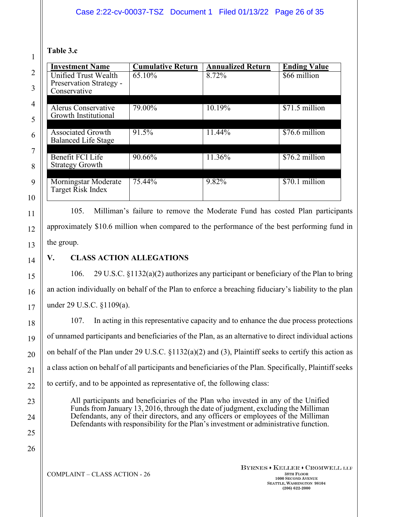## **Table 3.c**

1

2

3

4

5

6

7

8

9

10

11

| <b>Investment Name</b>     | <b>Cumulative Return</b> | <b>Annualized Return</b> | <b>Ending Value</b> |
|----------------------------|--------------------------|--------------------------|---------------------|
| Unified Trust Wealth       | 65.10%                   | 8.72%                    | \$66 million        |
| Preservation Strategy -    |                          |                          |                     |
| Conservative               |                          |                          |                     |
| <b>Alerus Conservative</b> | 79.00%                   | 10.19%                   | \$71.5 million      |
| Growth Institutional       |                          |                          |                     |
|                            |                          |                          |                     |
| Associated Growth          | 91.5%                    | 11.44%                   | \$76.6 million      |
| <b>Balanced Life Stage</b> |                          |                          |                     |
| Benefit FCI Life           | 90.66%                   | 11.36%                   | \$76.2 million      |
| <b>Strategy Growth</b>     |                          |                          |                     |
|                            |                          |                          |                     |
| Morningstar Moderate       | 75.44%                   | 9.82%                    | \$70.1 million      |
| Target Risk Index          |                          |                          |                     |
|                            |                          |                          |                     |

105. Milliman's failure to remove the Moderate Fund has costed Plan participants approximately \$10.6 million when compared to the performance of the best performing fund in the group.

## **V. CLASS ACTION ALLEGATIONS**

106. 29 U.S.C. §1132(a)(2) authorizes any participant or beneficiary of the Plan to bring an action individually on behalf of the Plan to enforce a breaching fiduciary's liability to the plan under 29 U.S.C. §1109(a).

107. In acting in this representative capacity and to enhance the due process protections of unnamed participants and beneficiaries of the Plan, as an alternative to direct individual actions on behalf of the Plan under 29 U.S.C. §1132(a)(2) and (3), Plaintiff seeks to certify this action as a class action on behalf of all participants and beneficiaries of the Plan. Specifically, Plaintiff seeks to certify, and to be appointed as representative of, the following class:

All participants and beneficiaries of the Plan who invested in any of the Unified Funds from January 13, 2016, through the date of judgment, excluding the Milliman Defendants, any of their directors, and any officers or employees of the Milliman Defendants with responsibility for the Plan's investment or administrative function.

26

 $COMPLANT - CLASS$   $ACTION - 26$  38TH **FLOOR**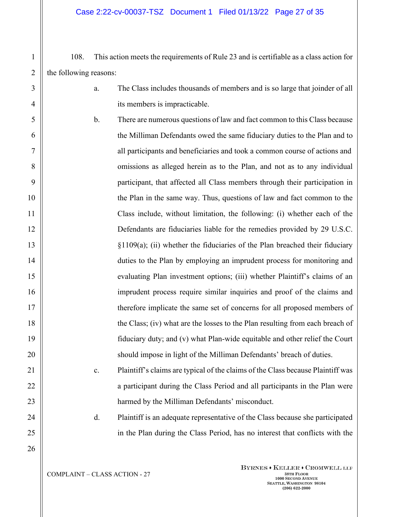108. This action meets the requirements of Rule 23 and is certifiable as a class action for the following reasons:

- a. The Class includes thousands of members and is so large that joinder of all its members is impracticable.
- b. There are numerous questions of law and fact common to this Class because the Milliman Defendants owed the same fiduciary duties to the Plan and to all participants and beneficiaries and took a common course of actions and omissions as alleged herein as to the Plan, and not as to any individual participant, that affected all Class members through their participation in the Plan in the same way. Thus, questions of law and fact common to the Class include, without limitation, the following: (i) whether each of the Defendants are fiduciaries liable for the remedies provided by 29 U.S.C. §1109(a); (ii) whether the fiduciaries of the Plan breached their fiduciary duties to the Plan by employing an imprudent process for monitoring and evaluating Plan investment options; (iii) whether Plaintiff's claims of an imprudent process require similar inquiries and proof of the claims and therefore implicate the same set of concerns for all proposed members of the Class; (iv) what are the losses to the Plan resulting from each breach of fiduciary duty; and (v) what Plan-wide equitable and other relief the Court should impose in light of the Milliman Defendants' breach of duties.
	- c. Plaintiff's claims are typical of the claims of the Class because Plaintiff was a participant during the Class Period and all participants in the Plan were harmed by the Milliman Defendants' misconduct.

d. Plaintiff is an adequate representative of the Class because she participated in the Plan during the Class Period, has no interest that conflicts with the

25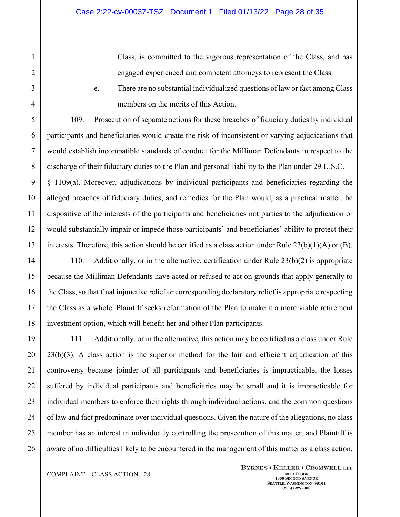Class, is committed to the vigorous representation of the Class, and has engaged experienced and competent attorneys to represent the Class.

e. There are no substantial individualized questions of law or fact among Class members on the merits of this Action.

109. Prosecution of separate actions for these breaches of fiduciary duties by individual participants and beneficiaries would create the risk of inconsistent or varying adjudications that would establish incompatible standards of conduct for the Milliman Defendants in respect to the discharge of their fiduciary duties to the Plan and personal liability to the Plan under 29 U.S.C. § 1109(a). Moreover, adjudications by individual participants and beneficiaries regarding the alleged breaches of fiduciary duties, and remedies for the Plan would, as a practical matter, be dispositive of the interests of the participants and beneficiaries not parties to the adjudication or would substantially impair or impede those participants' and beneficiaries' ability to protect their interests. Therefore, this action should be certified as a class action under Rule  $23(b)(1)(A)$  or (B).

110. Additionally, or in the alternative, certification under Rule 23(b)(2) is appropriate because the Milliman Defendants have acted or refused to act on grounds that apply generally to the Class, so that final injunctive relief or corresponding declaratory relief is appropriate respecting the Class as a whole. Plaintiff seeks reformation of the Plan to make it a more viable retirement investment option, which will benefit her and other Plan participants.

111. Additionally, or in the alternative, this action may be certified as a class under Rule 23(b)(3). A class action is the superior method for the fair and efficient adjudication of this controversy because joinder of all participants and beneficiaries is impracticable, the losses suffered by individual participants and beneficiaries may be small and it is impracticable for individual members to enforce their rights through individual actions, and the common questions of law and fact predominate over individual questions. Given the nature of the allegations, no class member has an interest in individually controlling the prosecution of this matter, and Plaintiff is aware of no difficulties likely to be encountered in the management of this matter as a class action.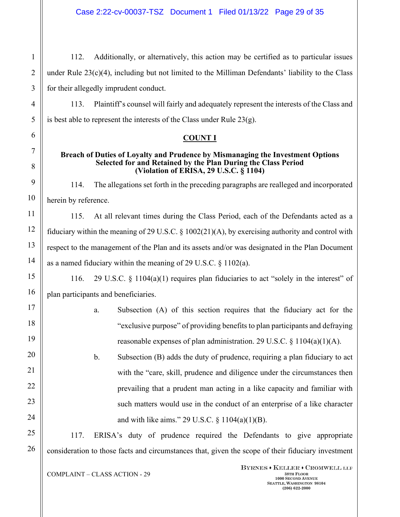112. Additionally, or alternatively, this action may be certified as to particular issues under Rule 23(c)(4), including but not limited to the Milliman Defendants' liability to the Class for their allegedly imprudent conduct.

113. Plaintiff's counsel will fairly and adequately represent the interests of the Class and is best able to represent the interests of the Class under Rule 23(g).

### **COUNT I**

#### **Breach of Duties of Loyalty and Prudence by Mismanaging the Investment Options Selected for and Retained by the Plan During the Class Period (Violation of ERISA, 29 U.S.C. § 1104)**

114. The allegations set forth in the preceding paragraphs are realleged and incorporated herein by reference.

115. At all relevant times during the Class Period, each of the Defendants acted as a fiduciary within the meaning of 29 U.S.C. § 1002(21)(A), by exercising authority and control with respect to the management of the Plan and its assets and/or was designated in the Plan Document as a named fiduciary within the meaning of 29 U.S.C. § 1102(a).

116. 29 U.S.C. § 1104(a)(1) requires plan fiduciaries to act "solely in the interest" of plan participants and beneficiaries.

> a. Subsection (A) of this section requires that the fiduciary act for the "exclusive purpose" of providing benefits to plan participants and defraying reasonable expenses of plan administration. 29 U.S.C. § 1104(a)(1)(A).

> b. Subsection (B) adds the duty of prudence, requiring a plan fiduciary to act with the "care, skill, prudence and diligence under the circumstances then prevailing that a prudent man acting in a like capacity and familiar with such matters would use in the conduct of an enterprise of a like character and with like aims." 29 U.S.C. § 1104(a)(1)(B).

117. ERISA's duty of prudence required the Defendants to give appropriate consideration to those facts and circumstances that, given the scope of their fiduciary investment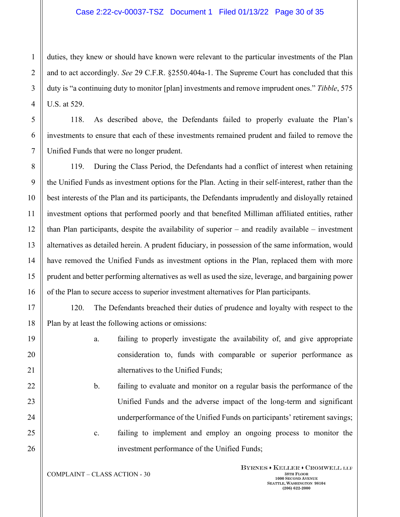duties, they knew or should have known were relevant to the particular investments of the Plan and to act accordingly. *See* 29 C.F.R. §2550.404a-1. The Supreme Court has concluded that this duty is "a continuing duty to monitor [plan] investments and remove imprudent ones." *Tibble*, 575 U.S. at 529.

118. As described above, the Defendants failed to properly evaluate the Plan's investments to ensure that each of these investments remained prudent and failed to remove the Unified Funds that were no longer prudent.

119. During the Class Period, the Defendants had a conflict of interest when retaining the Unified Funds as investment options for the Plan. Acting in their self-interest, rather than the best interests of the Plan and its participants, the Defendants imprudently and disloyally retained investment options that performed poorly and that benefited Milliman affiliated entities, rather than Plan participants, despite the availability of superior – and readily available – investment alternatives as detailed herein. A prudent fiduciary, in possession of the same information, would have removed the Unified Funds as investment options in the Plan, replaced them with more prudent and better performing alternatives as well as used the size, leverage, and bargaining power of the Plan to secure access to superior investment alternatives for Plan participants.

120. The Defendants breached their duties of prudence and loyalty with respect to the Plan by at least the following actions or omissions:

- a. failing to properly investigate the availability of, and give appropriate consideration to, funds with comparable or superior performance as alternatives to the Unified Funds;
- b. failing to evaluate and monitor on a regular basis the performance of the Unified Funds and the adverse impact of the long-term and significant underperformance of the Unified Funds on participants' retirement savings; c. failing to implement and employ an ongoing process to monitor the

investment performance of the Unified Funds;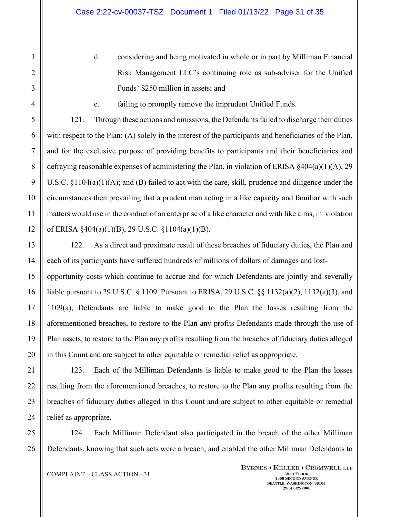d. considering and being motivated in whole or in part by Milliman Financial Risk Management LLC's continuing role as sub-adviser for the Unified Funds' \$250 million in assets; and

e. failing to promptly remove the imprudent Unified Funds.

121. Through these actions and omissions, the Defendants failed to discharge their duties with respect to the Plan: (A) solely in the interest of the participants and beneficiaries of the Plan, and for the exclusive purpose of providing benefits to participants and their beneficiaries and defraying reasonable expenses of administering the Plan, in violation of ERISA  $\S 404(a)(1)(A)$ , 29 U.S.C. §1104(a)(1)(A); and (B) failed to act with the care, skill, prudence and diligence under the circumstances then prevailing that a prudent man acting in a like capacity and familiar with such matters would use in the conduct of an enterprise of a like character and with like aims, in violation of ERISA §404(a)(1)(B), 29 U.S.C. §1104(a)(1)(B).

122. As a direct and proximate result of these breaches of fiduciary duties, the Plan and each of its participants have suffered hundreds of millions of dollars of damages and lost-

opportunity costs which continue to accrue and for which Defendants are jointly and severally liable pursuant to 29 U.S.C. § 1109. Pursuant to ERISA, 29 U.S.C. §§ 1132(a)(2), 1132(a)(3), and 1109(a), Defendants are liable to make good to the Plan the losses resulting from the aforementioned breaches, to restore to the Plan any profits Defendants made through the use of Plan assets, to restore to the Plan any profits resulting from the breaches of fiduciary duties alleged in this Count and are subject to other equitable or remedial relief as appropriate.

123. Each of the Milliman Defendants is liable to make good to the Plan the losses resulting from the aforementioned breaches, to restore to the Plan any profits resulting from the breaches of fiduciary duties alleged in this Count and are subject to other equitable or remedial relief as appropriate.

124. Each Milliman Defendant also participated in the breach of the other Milliman Defendants, knowing that such acts were a breach, and enabled the other Milliman Defendants to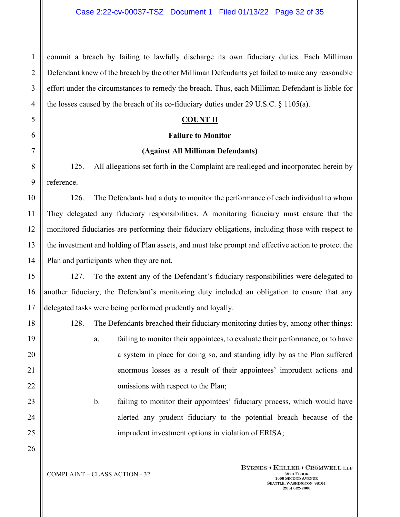commit a breach by failing to lawfully discharge its own fiduciary duties. Each Milliman Defendant knew of the breach by the other Milliman Defendants yet failed to make any reasonable effort under the circumstances to remedy the breach. Thus, each Milliman Defendant is liable for the losses caused by the breach of its co-fiduciary duties under 29 U.S.C. § 1105(a).

### **COUNT II**

### **Failure to Monitor**

### **(Against All Milliman Defendants)**

125. All allegations set forth in the Complaint are realleged and incorporated herein by reference.

126. The Defendants had a duty to monitor the performance of each individual to whom They delegated any fiduciary responsibilities. A monitoring fiduciary must ensure that the monitored fiduciaries are performing their fiduciary obligations, including those with respect to the investment and holding of Plan assets, and must take prompt and effective action to protect the Plan and participants when they are not.

127. To the extent any of the Defendant's fiduciary responsibilities were delegated to another fiduciary, the Defendant's monitoring duty included an obligation to ensure that any delegated tasks were being performed prudently and loyally.

128. The Defendants breached their fiduciary monitoring duties by, among other things:

a. failing to monitor their appointees, to evaluate their performance, or to have a system in place for doing so, and standing idly by as the Plan suffered enormous losses as a result of their appointees' imprudent actions and omissions with respect to the Plan;

b. failing to monitor their appointees' fiduciary process, which would have alerted any prudent fiduciary to the potential breach because of the imprudent investment options in violation of ERISA;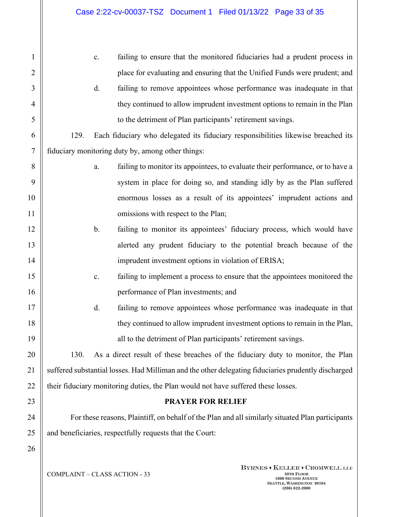| 1              | failing to ensure that the monitored fiduciaries had a prudent process in<br>c.                     |
|----------------|-----------------------------------------------------------------------------------------------------|
| 2              | place for evaluating and ensuring that the Unified Funds were prudent; and                          |
| 3              | failing to remove appointees whose performance was inadequate in that<br>d.                         |
| 4              | they continued to allow imprudent investment options to remain in the Plan                          |
| 5              | to the detriment of Plan participants' retirement savings.                                          |
| 6              | Each fiduciary who delegated its fiduciary responsibilities likewise breached its<br>129.           |
| $\overline{7}$ | fiduciary monitoring duty by, among other things:                                                   |
| 8              | failing to monitor its appointees, to evaluate their performance, or to have a<br>a.                |
| 9              | system in place for doing so, and standing idly by as the Plan suffered                             |
| 10             | enormous losses as a result of its appointees' imprudent actions and                                |
| 11             | omissions with respect to the Plan;                                                                 |
| 12             | failing to monitor its appointees' fiduciary process, which would have<br>b.                        |
| 13             | alerted any prudent fiduciary to the potential breach because of the                                |
| 14             | imprudent investment options in violation of ERISA;                                                 |
| 15             | failing to implement a process to ensure that the appointees monitored the<br>c.                    |
| 16             | performance of Plan investments; and                                                                |
| 17             | failing to remove appointees whose performance was inadequate in that<br>d.                         |
| 18             | they continued to allow imprudent investment options to remain in the Plan,                         |
| 19             | all to the detriment of Plan participants' retirement savings.                                      |
| 20             | 130.<br>As a direct result of these breaches of the fiduciary duty to monitor, the Plan             |
| 21             | suffered substantial losses. Had Milliman and the other delegating fiduciaries prudently discharged |
| 22             | their fiduciary monitoring duties, the Plan would not have suffered these losses.                   |
| 23             | <b>PRAYER FOR RELIEF</b>                                                                            |
| 24             | For these reasons, Plaintiff, on behalf of the Plan and all similarly situated Plan participants    |
| 25             | and beneficiaries, respectfully requests that the Court:                                            |
| 26             |                                                                                                     |
|                |                                                                                                     |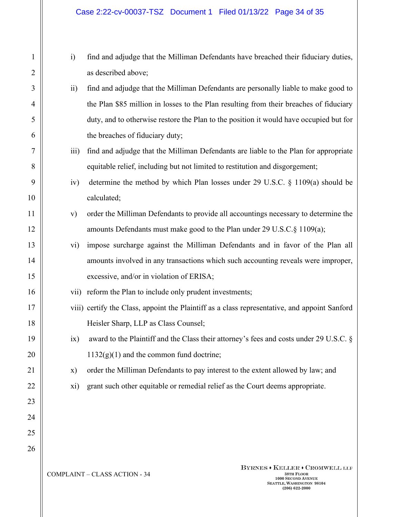### Case 2:22-cv-00037-TSZ Document 1 Filed 01/13/22 Page 34 of 35

- i) find and adjudge that the Milliman Defendants have breached their fiduciary duties, as described above;
- ii) find and adjudge that the Milliman Defendants are personally liable to make good to the Plan \$85 million in losses to the Plan resulting from their breaches of fiduciary duty, and to otherwise restore the Plan to the position it would have occupied but for the breaches of fiduciary duty;
- iii) find and adjudge that the Milliman Defendants are liable to the Plan for appropriate equitable relief, including but not limited to restitution and disgorgement;
- iv) determine the method by which Plan losses under 29 U.S.C. § 1109(a) should be calculated;
- v) order the Milliman Defendants to provide all accountings necessary to determine the amounts Defendants must make good to the Plan under 29 U.S.C.§ 1109(a);
- vi) impose surcharge against the Milliman Defendants and in favor of the Plan all amounts involved in any transactions which such accounting reveals were improper, excessive, and/or in violation of ERISA;
- vii) reform the Plan to include only prudent investments;
- viii) certify the Class, appoint the Plaintiff as a class representative, and appoint Sanford Heisler Sharp, LLP as Class Counsel;
- ix) award to the Plaintiff and the Class their attorney's fees and costs under 29 U.S.C. §  $1132(g)(1)$  and the common fund doctrine;
- x) order the Milliman Defendants to pay interest to the extent allowed by law; and
- xi) grant such other equitable or remedial relief as the Court deems appropriate.

**COMPLAINT** – CLASS ACTION - 34 38TH **BLOOK** 

BYRNES . KELLER . CROMWELL LLP **1000 SECOND AVENUE SEATTLE, WASHINGTON 98104 (206) 622-2000**